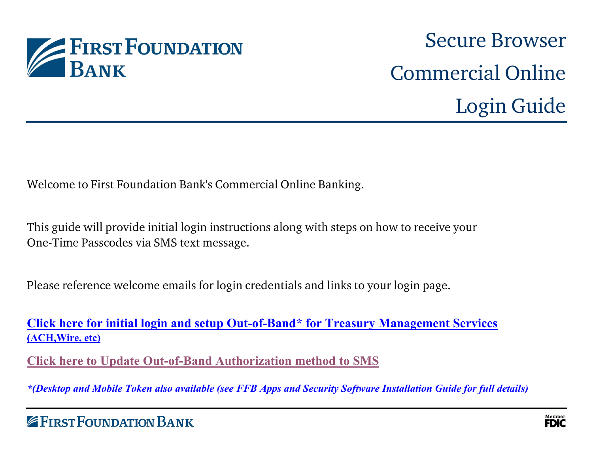

# Secure Browser Commercial Online Login Guide

Welcome to First Foundation Bank's Commercial Online Banking.

This guide will provide initial login instructions along with steps on how to receive your One-Time Passcodes via SMS text message.

Please reference welcome emails for login credentials and links to your login page.

**Click here for initial login and setup Out-of-Band\* for Treasury Management Services (ACH,Wire, etc)**

**[Click here to Update Out-of-Band Authorization method to SMS](#page-4-0)**

*\*(Desktop and Mobile Token also available (see FFB Apps and Security Software Installation Guide for full details)*

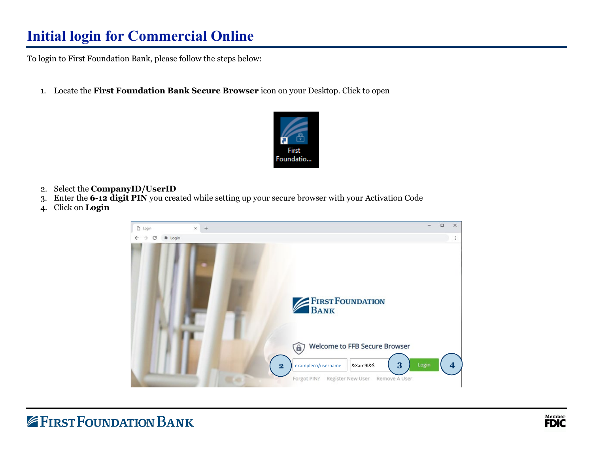## **Initial login for Commercial Online**

To login to First Foundation Bank, please follow the steps below:

1. Locate the **First Foundation Bank Secure Browser** icon on your Desktop. Click to open



- 2. Select the **CompanyID/UserID**
- 3. Enter the **6-12 digit PIN** you created while setting up your secure browser with your Activation Code
- 4. Click on **Login**

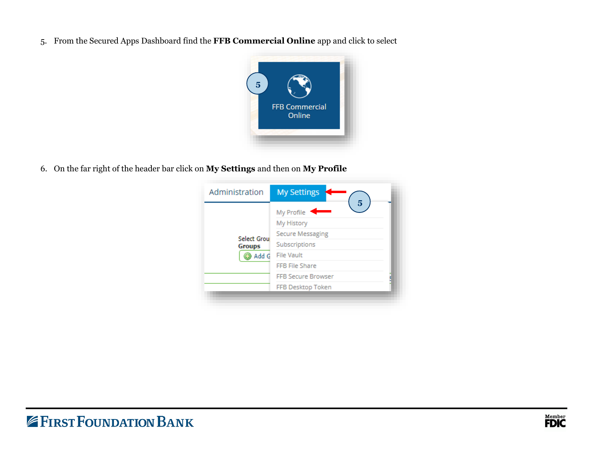5. From the Secured Apps Dashboard find the **FFB Commercial Online** app and click to select



6. On the far right of the header bar click on **My Settings** and then on **My Profile**

| Administration                               | <b>My Settings</b>                                                                                                                                                               |
|----------------------------------------------|----------------------------------------------------------------------------------------------------------------------------------------------------------------------------------|
| <b>Select Grou</b><br><b>Groups</b><br>Add G | $5\overline{)}$<br>My Profile<br>My History<br><b>Secure Messaging</b><br>Subscriptions<br><b>File Vault</b><br>FFB File Share<br><b>FFB Secure Browser</b><br>FFB Desktop Token |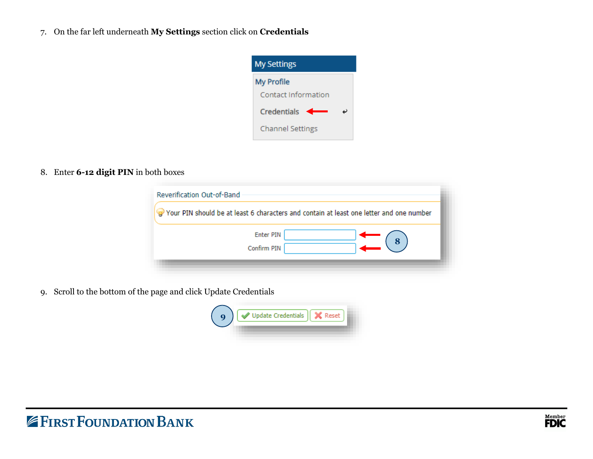7. On the far left underneath **My Settings** section click on **Credentials**



8. Enter **6-12 digit PIN** in both boxes

|                  |  | Your PIN should be at least 6 characters and contain at least one letter and one number |
|------------------|--|-----------------------------------------------------------------------------------------|
| <b>Enter PIN</b> |  | 8                                                                                       |
| Confirm PIN      |  |                                                                                         |

9. Scroll to the bottom of the page and click Update Credentials

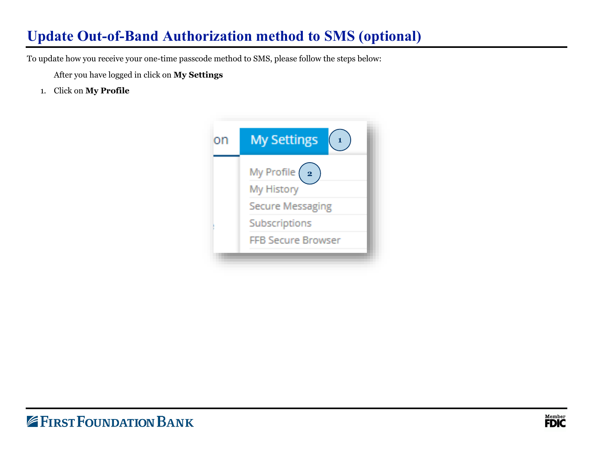### <span id="page-4-0"></span>**Update Out-of-Band Authorization method to SMS (optional)**

To update how you receive your one-time passcode method to SMS, please follow the steps below:

After you have logged in click on **My Settings**

1. Click on **My Profile**

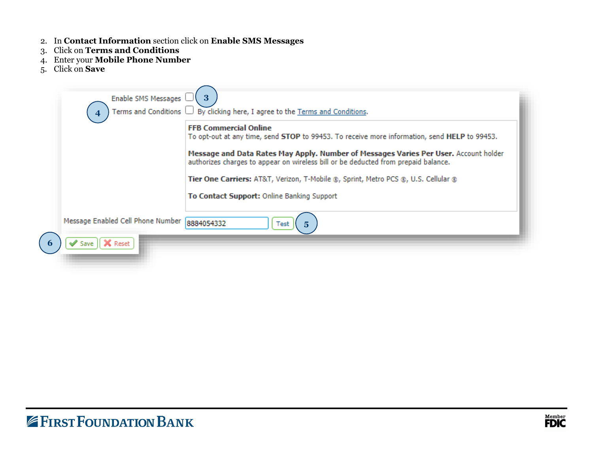- 2. In **Contact Information** section click on **Enable SMS Messages**
- 3. Click on **Terms and Conditions**
- 4. Enter your **Mobile Phone Number**
- 5. Click on **Save**

| Enable SMS Messages                                           | 3<br>Terms and Conditions $\Box$ By clicking here, I agree to the Terms and Conditions.                                                                                                                              |
|---------------------------------------------------------------|----------------------------------------------------------------------------------------------------------------------------------------------------------------------------------------------------------------------|
|                                                               | <b>FFB Commercial Online</b><br>To opt-out at any time, send STOP to 99453. To receive more information, send HELP to 99453.<br>Message and Data Rates May Apply. Number of Messages Varies Per User. Account holder |
|                                                               | authorizes charges to appear on wireless bill or be deducted from prepaid balance.<br>Tier One Carriers: AT&T, Verizon, T-Mobile ®, Sprint, Metro PCS ®, U.S. Cellular ®                                             |
|                                                               | To Contact Support: Online Banking Support                                                                                                                                                                           |
| Message Enabled Cell Phone Number 8884054332<br>Reset<br>Save | 5<br>Test                                                                                                                                                                                                            |

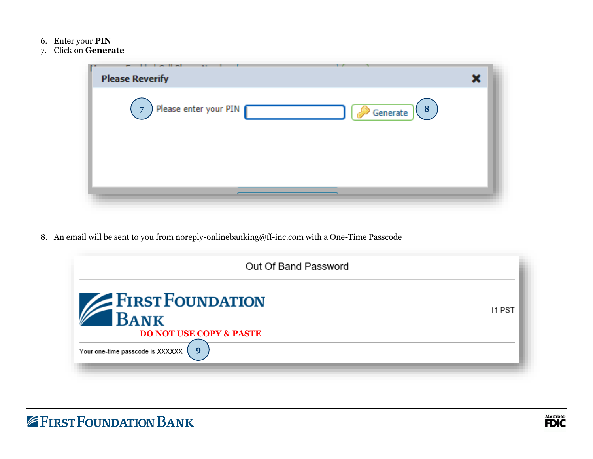- 6. Enter your **PIN**
- 7. Click on **Generate**

| <b>The Host</b><br>$\overline{\phantom{a}}$<br>$\cdots$<br><b>B.D.</b><br><b>Please Reverify</b> |  |
|--------------------------------------------------------------------------------------------------|--|
| Please enter your PIN<br>(8)<br>$\overline{7}$<br>$\mathscr{P}$ Generate                         |  |
|                                                                                                  |  |

8. An email will be sent to you from noreply-onlinebanking@ff-inc.com with a One-Time Passcode

| Out Of Band Password                                                                                                    |        |
|-------------------------------------------------------------------------------------------------------------------------|--------|
| <b>EXPERIE FOUNDATION</b><br><b>BANK</b><br><b>DO NOT USE COPY &amp; PASTE</b><br>9<br>Your one-time passcode is XXXXXX | 11 PST |

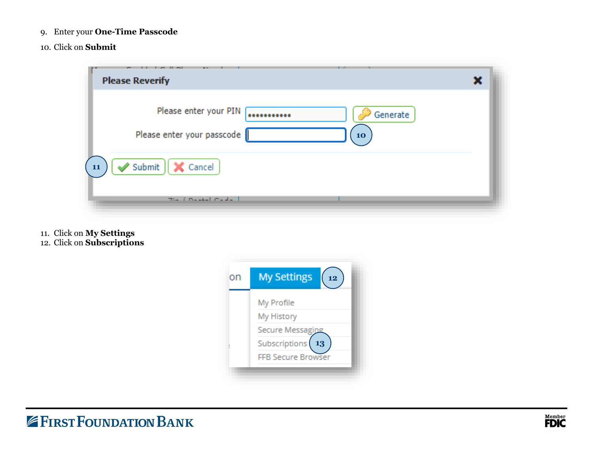- 9. Enter your **One-Time Passcode**
- 10. Click on **Submit**



11. Click on **My Settings** 12. Click on **Subscriptions**

| on | <b>My Settings</b><br>12  |
|----|---------------------------|
|    | My Profile                |
|    | My History                |
|    | Secure Messaging          |
|    | Subscriptions<br>13       |
|    | <b>FFB Secure Browser</b> |

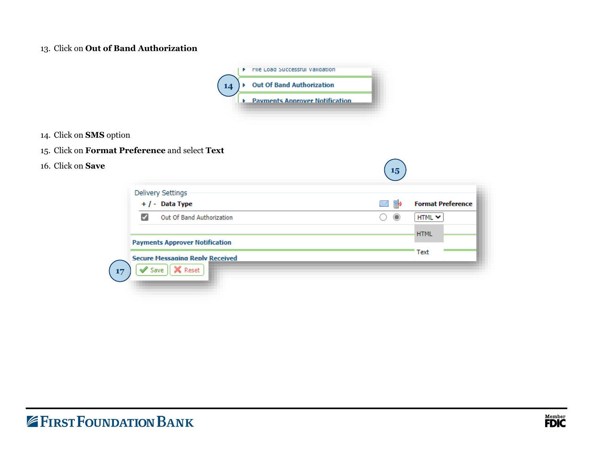#### 13. Click on **Out of Band Authorization**



- 14. Click on **SMS** option
- 15. Click on **Format Preference** and select **Text**
- 16. Click on **Save**

| <b>Delivery Settings</b>               |                    |                          |
|----------------------------------------|--------------------|--------------------------|
| $+$ / - Data Type                      | B.<br>$\mathbb{M}$ | <b>Format Preference</b> |
| Out Of Band Authorization<br>✔         | $\odot$            | HTML Y                   |
|                                        |                    | <b>HTML</b>              |
| <b>Payments Approver Notification</b>  |                    |                          |
| <b>Secure Messaging Reply Received</b> |                    | Text                     |
| X Reset<br>Save                        |                    |                          |

**15**